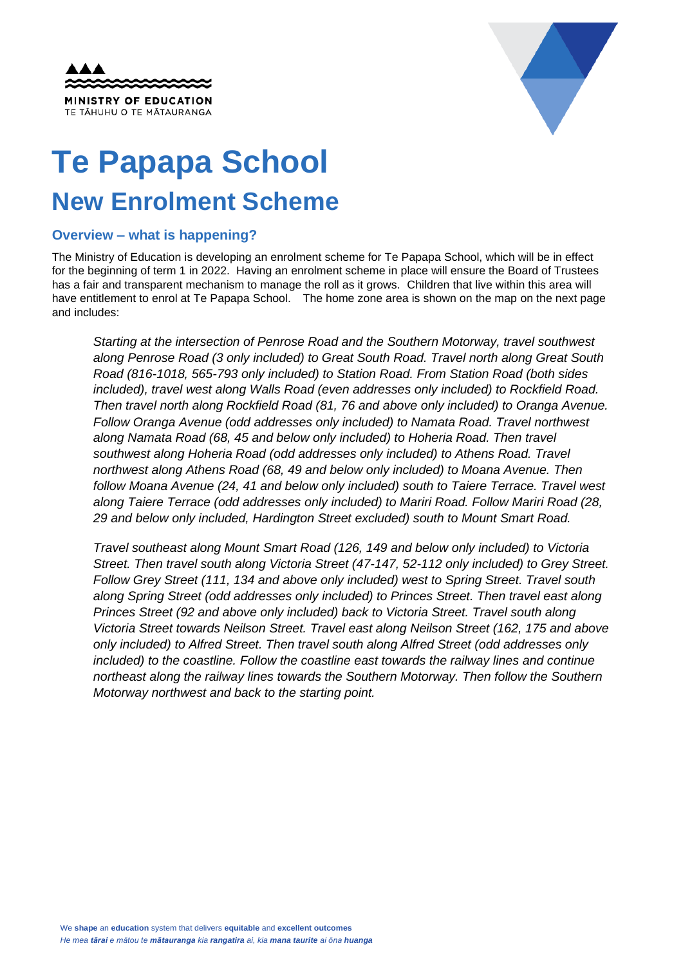



## **Te Papapa School New Enrolment Scheme**

## **Overview – what is happening?**

The Ministry of Education is developing an enrolment scheme for Te Papapa School, which will be in effect for the beginning of term 1 in 2022. Having an enrolment scheme in place will ensure the Board of Trustees has a fair and transparent mechanism to manage the roll as it grows. Children that live within this area will have entitlement to enrol at Te Papapa School. The home zone area is shown on the map on the next page and includes:

*Starting at the intersection of Penrose Road and the Southern Motorway, travel southwest along Penrose Road (3 only included) to Great South Road. Travel north along Great South Road (816-1018, 565-793 only included) to Station Road. From Station Road (both sides included), travel west along Walls Road (even addresses only included) to Rockfield Road. Then travel north along Rockfield Road (81, 76 and above only included) to Oranga Avenue. Follow Oranga Avenue (odd addresses only included) to Namata Road. Travel northwest along Namata Road (68, 45 and below only included) to Hoheria Road. Then travel southwest along Hoheria Road (odd addresses only included) to Athens Road. Travel northwest along Athens Road (68, 49 and below only included) to Moana Avenue. Then follow Moana Avenue (24, 41 and below only included) south to Taiere Terrace. Travel west along Taiere Terrace (odd addresses only included) to Mariri Road. Follow Mariri Road (28, 29 and below only included, Hardington Street excluded) south to Mount Smart Road.* 

*Travel southeast along Mount Smart Road (126, 149 and below only included) to Victoria Street. Then travel south along Victoria Street (47-147, 52-112 only included) to Grey Street. Follow Grey Street (111, 134 and above only included) west to Spring Street. Travel south along Spring Street (odd addresses only included) to Princes Street. Then travel east along Princes Street (92 and above only included) back to Victoria Street. Travel south along Victoria Street towards Neilson Street. Travel east along Neilson Street (162, 175 and above only included) to Alfred Street. Then travel south along Alfred Street (odd addresses only included) to the coastline. Follow the coastline east towards the railway lines and continue northeast along the railway lines towards the Southern Motorway. Then follow the Southern Motorway northwest and back to the starting point.*